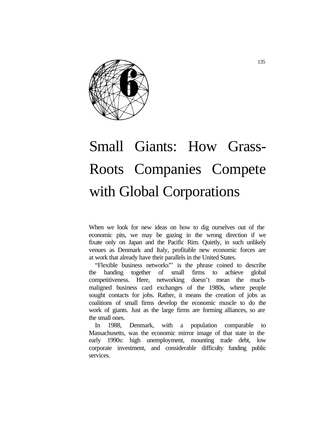

# Small Giants: How Grass-Roots Companies Compete with Global Corporations

When we look for new ideas on how to dig ourselves out of the economic pits, we may be gazing in the wrong direction if we fixate only on Japan and the Pacific Rim. Quietly, in such unlikely venues as Denmark and Italy, profitable new economic forces are at work that already have their parallels in the United States.

"Flexible business networks"' is the phrase coined to describe the banding together of small firms to achieve global competitiveness. Here, networking doesn't mean the muchmaligned business card exchanges of the 1980s, where people sought contacts for jobs. Rather, it means the creation of jobs as coalitions of small firms develop the economic muscle to do the work of giants. Just as the large firms are forming alliances, so are the small ones.

In 1988, Denmark, with a population comparable to Massachusetts, was the economic mirror image of that state in the early 1990s: high unemployment, mounting trade debt, low corporate investment, and considerable difficulty funding public services.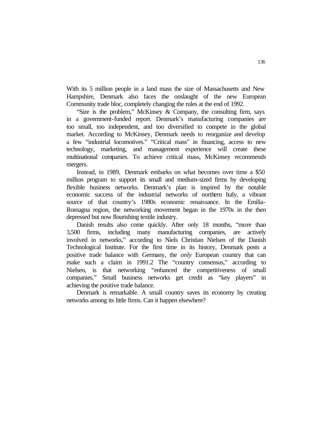With its 5 million people in a land mass the size of Massachusetts and New Hampshire, Denmark also faces the onslaught of the new European Community trade bloc, completely changing the rules at the end of 1992.

"Size is the problem," McKinsey & Company, the consulting firm, says in a government-funded report. Denmark's manufacturing companies are too small, too independent, and too diversified to compete in the global market. According to McKinsey, Denmark needs to reorganize and develop a few "industrial locomotives." "Critical mass" in financing, access to new technology, marketing, and management experience will create these multinational companies. To achieve critical mass, McKinsey recommends mergers.

Instead, in 1989, Denmark embarks on what becomes over time a \$50 million program to support its small and medium-sized firms by developing flexible business networks. Denmark's plan is inspired by the notable economic success of the industrial networks of northern Italy, a vibrant source of that country's 1980s economic renaissance. In the Emilia-Romagna region, the networking movement began in the 1970s in the then depressed but now flourishing textile industry.

Danish results also come quickly. After only 18 months, "more than 3,500 firms, including many manufacturing companies, are actively involved in networks," according to Niels Christian Nielsen of the Danish Technological Institute. For the first time in its history, Denmark posts a positive trade balance with Germany, the *only* European country that can make such a claim in 1991.2 The "country consensus," according to Nielsen, is that networking "enhanced the competitiveness of small companies." Small business networks get credit as "key players" in achieving the positive trade balance.

Denmark is remarkable. A small country saves its economy by creating networks among its little firms. Can it happen elsewhere?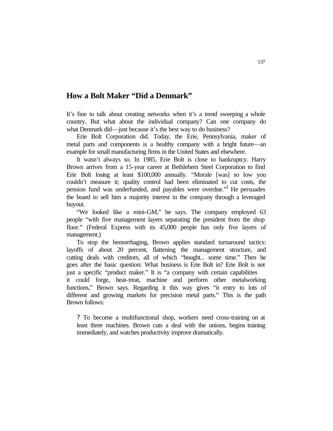# **How a Bolt Maker "Did a Denmark"**

It's fine to talk about creating networks when it's a trend sweeping a whole country. But what about the individual company? Can one company do what Denmark did—just because it's the best way to do business?

Erie Bolt Corporation did. Today, the Erie, Pennsylvania, maker of metal parts and components is a healthy company with a bright future—an example for small manufacturing firms in the United States and elsewhere.

It wasn't always so. In 1985, Erie Bolt is close to bankruptcy. Harry Brown arrives from a 15-year career at Bethlehem Steel Corporation to find Erie Bolt losing at least \$100,000 annually. "Morale [was] so low you couldn't measure it; quality control had been eliminated to cut costs, the pension fund was underfunded, and payables were overdue.<sup>33</sup> He persuades the board to sell him a majority interest in the company through a leveraged buyout.

"We looked like a mini-GM," he says. The company employed 63 people "with five management layers separating the president from the shop floor." (Federal Express with its 45,000 people has only five layers of management.)

To stop the hemorrhaging, Brown applies standard turnaround tactics: layoffs of about 20 percent, flattening the management structure, and cutting deals with creditors, all of which "bought... some time." Then he goes after the basic question: What business is Erie Bolt in? Erie Bolt is not just a specific "product maker." It is "a company with certain capabilities it could forge, heat-treat, machine and perform other metalworking functions," Brown says. Regarding it this way gives "it entry to lots of different and growing markets for precision metal parts." This is the path Brown follows:

? To become a multifunctional shop, workers need cross-training on at least three machines. Brown cuts a deal with the unions, begins training immediately, and watches productivity improve dramatically.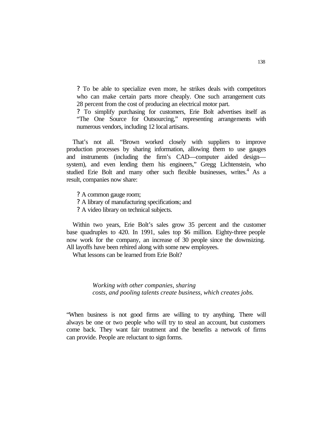? To be able to specialize even more, he strikes deals with competitors who can make certain parts more cheaply. One such arrangement cuts 28 percent from the cost of producing an electrical motor part.

? To simplify purchasing for customers, Erie Bolt advertises itself as "The One Source for Outsourcing," representing arrangements with numerous vendors, including 12 local artisans.

That's not all. "Brown worked closely with suppliers to improve production processes by sharing information, allowing them to use gauges and instruments (including the firm's CAD—computer aided design system), and even lending them his engineers," Gregg Lichtenstein, who studied Erie Bolt and many other such flexible businesses, writes.<sup>4</sup> As a result, companies now share:

? A common gauge room;

- ? A library of manufacturing specifications; and
- ? A video library on technical subjects.

Within two years, Erie Bolt's sales grow 35 percent and the customer base quadruples to 420. In 1991, sales top \$6 million. Eighty-three people now work for the company, an increase of 30 people since the downsizing. All layoffs have been rehired along with some new employees.

What lessons can be learned from Erie Bolt?

*Working with other companies, sharing costs, and pooling talents create business, which creates jobs.*

"When business is not good firms are willing to try anything. There will always be one or two people who will try to steal an account, but customers come back. They want fair treatment and the benefits a network of firms can provide. People are reluctant to sign forms.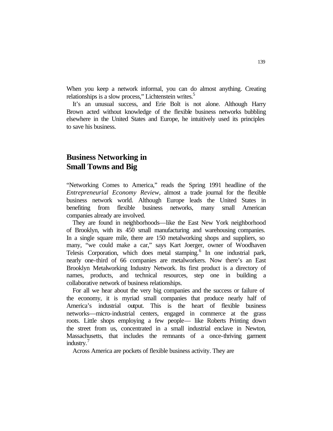When you keep a network informal, you can do almost anything. Creating relationships is a slow process," Lichtenstein writes.<sup>5</sup>

It's an unusual success, and Erie Bolt is not alone. Although Harry Brown acted without knowledge of the flexible business networks bubbling elsewhere in the United States and Europe, he intuitively used its principles to save his business.

# **Business Networking in Small Towns and Big**

"Networking Comes to America," reads the Spring 1991 headline of the *Entrepreneurial Economy Review,* almost a trade journal for the flexible business network world. Although Europe leads the United States in benefiting from flexible business networks, many small American companies already are involved.

They are found in neighborhoods—like the East New York neighborhood of Brooklyn, with its 450 small manufacturing and warehousing companies. In a single square mile, there are 150 metalworking shops and suppliers, so many, "we could make a car," says Kart Joerger, owner of Woodhaven Telesis Corporation, which does metal stamping.<sup>6</sup> In one industrial park, nearly one-third of 66 companies are metalworkers. Now there's an East Brooklyn Metalworking Industry Network. Its first product is a directory of names, products, and technical resources, step one in building a collaborative network of business relationships.

For all we hear about the very big companies and the success or failure of the economy, it is myriad small companies that produce nearly half of America's industrial output. This is the heart of flexible business networks—micro-industrial centers, engaged in commerce at the grass roots. Little shops employing a few people— like Roberts Printing down the street from us, concentrated in a small industrial enclave in Newton, Massachusetts, that includes the remnants of a once-thriving garment industry.<sup>7</sup>

Across America are pockets of flexible business activity. They are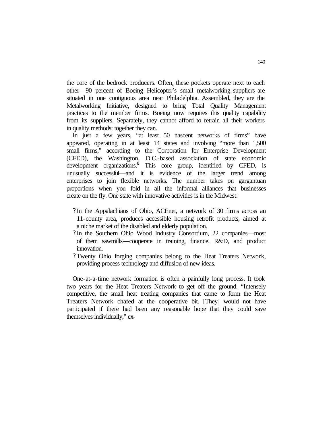the core of the bedrock producers. Often, these pockets operate next to each other—90 percent of Boeing Helicopter's small metalworking suppliers are situated in one contiguous area near Philadelphia. Assembled, they are the Metalworking Initiative, designed to bring Total Quality Management practices to the member firms. Boeing now requires this quality capability from its suppliers. Separately, they cannot afford to retrain all their workers in quality methods; together they can.

In just a few years, "at least 50 nascent networks of firms" have appeared, operating in at least 14 states and involving "more than 1,500 small firms," according to the Corporation for Enterprise Development (CFED), the Washington, D.C.-based association of state economic development organizations.<sup>8</sup> This core group, identified by CFED, is unusually successful—and it is evidence of the larger trend among enterprises to join flexible networks. The number takes on gargantuan proportions when you fold in all the informal alliances that businesses create on the fly. One state with innovative activities is in the Midwest:

- ? In the Appalachians of Ohio, ACEnet, a network of 30 firms across an 11-county area, produces accessible housing retrofit products, aimed at a niche market of the disabled and elderly population.
- ? In the Southern Ohio Wood Industry Consortium, 22 companies—most of them sawmills—cooperate in training, finance, R&D, and product innovation.
- ? Twenty Ohio forging companies belong to the Heat Treaters Network, providing process technology and diffusion of new ideas.

One-at-a-time network formation is often a painfully long process. It took two years for the Heat Treaters Network to get off the ground. "Intensely competitive, the small heat treating companies that came to form the Heat Treaters Network chafed at the cooperative bit. [They] would not have participated if there had been any reasonable hope that they could save themselves individually," ex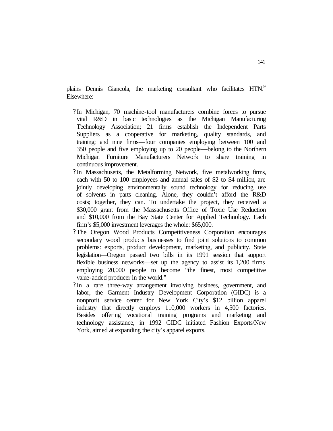plains Dennis Giancola, the marketing consultant who facilitates HTN.<sup>9</sup> Elsewhere:

- ? In Michigan, 70 machine-tool manufacturers combine forces to pursue vital R&D in basic technologies as the Michigan Manufacturing Technology Association; 21 firms establish the Independent Parts Suppliers as a cooperative for marketing, quality standards, and training; and nine firms—four companies employing between 100 and 350 people and five employing up to 20 people—belong to the Northern Michigan Furniture Manufacturers Network to share training in continuous improvement.
- ? In Massachusetts, the Metalforming Network, five metalworking firms, each with 50 to 100 employees and annual sales of \$2 to \$4 million, are jointly developing environmentally sound technology for reducing use of solvents in parts cleaning. Alone, they couldn't afford the R&D costs; together, they can. To undertake the project, they received a \$30,000 grant from the Massachusetts Office of Toxic Use Reduction and \$10,000 from the Bay State Center for Applied Technology. Each firm's \$5,000 investment leverages the whole: \$65,000.
- ? The Oregon Wood Products Competitiveness Corporation encourages secondary wood products businesses to find joint solutions to common problems: exports, product development, marketing, and publicity. State legislation—Oregon passed two bills in its 1991 session that support flexible business networks—set up the agency to assist its 1,200 firms employing 20,000 people to become "the finest, most competitive value-added producer in the world."
- ? In a rare three-way arrangement involving business, government, and labor, the Garment Industry Development Corporation (GIDC) is a nonprofit service center for New York City's \$12 billion apparel industry that directly employs 110,000 workers in 4,500 factories. Besides offering vocational training programs and marketing and technology assistance, in 1992 GIDC initiated Fashion Exports/New York, aimed at expanding the city's apparel exports.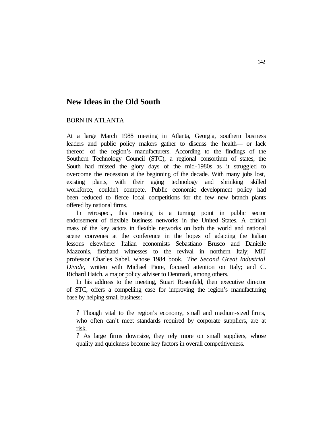# **New Ideas in the Old South**

# BORN IN ATLANTA

At a large March 1988 meeting in Atlanta, Georgia, southern business leaders and public policy makers gather to discuss the health— or lack thereof—of the region's manufacturers. According to the findings of the Southern Technology Council (STC), a regional consortium of states, the South had missed the glory days of the mid-1980s as it struggled to overcome the recession at the beginning of the decade. With many jobs lost, existing plants, with their aging technology and shrinking skilled workforce, couldn't compete. Public economic development policy had been reduced to fierce local competitions for the few new branch plants offered by national firms.

In retrospect, this meeting is a turning point in public sector endorsement of flexible business networks in the United States. A critical mass of the key actors in flexible networks on both the world and national scene convenes at the conference in the hopes of adapting the Italian lessons elsewhere: Italian economists Sebastiano Brusco and Danielle Mazzonis, firsthand witnesses to the revival in northern Italy; MIT professor Charles Sabel, whose 1984 book, *The Second Great Industrial Divide,* written with Michael Piore, focused attention on Italy; and C. Richard Hatch, a major policy adviser to Denmark, among others.

In his address to the meeting, Stuart Rosenfeld, then executive director of STC, offers a compelling case for improving the region's manufacturing base by helping small business:

? Though vital to the region's economy, small and medium-sized firms, who often can't meet standards required by corporate suppliers, are at risk.

? As large firms downsize, they rely more on small suppliers, whose quality and quickness become key factors in overall competitiveness.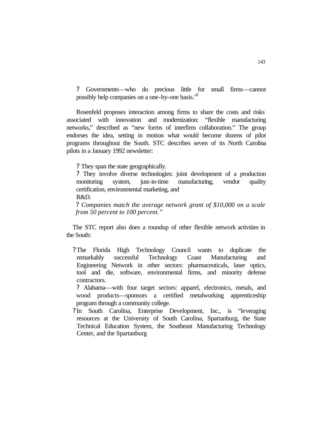? Governments—who do precious little for small firms—cannot possibly help companies on a one-by-one basis.'<sup>0</sup>

Rosenfeld proposes interaction among firms to share the costs and risks associated with innovation and modernization: "flexible manufacturing networks," described as "new forms of interfirm collaboration." The group endorses the idea, setting in motion what would become dozens of pilot programs throughout the South. STC describes seven of its North Carolina pilots in a January 1992 newsletter:

? They span the state geographically.

? They involve diverse technologies: joint development of a production monitoring system, just-in-time manufacturing, vendor quality certification, environmental marketing, and

R&D.

*? Companies match the average network grant of \$10,000 on a scale from 50 percent to 100 percent."*

The STC report also does a roundup of other flexible network activities in the South:

? The Florida High Technology Council wants to duplicate the remarkably successful Technology Coast Manufacturing and Engineering Network in other sectors: pharmaceuticals, laser optics, tool and die, software, environmental firms, and minority defense contractors.

? Alabama—with four target sectors: apparel, electronics, metals, and wood products—sponsors a certified metalworking apprenticeship program through a community college.

? In South Carolina, Enterprise Development, Inc., is "leveraging resources at the University of South Carolina, Spartanburg, the State Technical Education System, the Southeast Manufacturing Technology Center, and the Spartanburg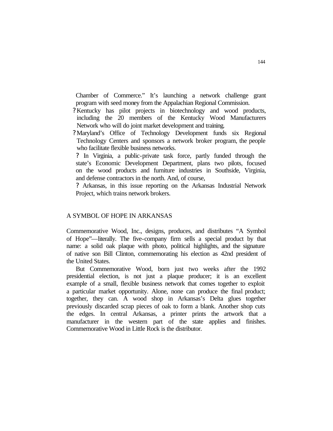Chamber of Commerce." It's launching a network challenge grant program with seed money from the Appalachian Regional Commission.

- ? Kentucky has pilot projects in biotechnology and wood products, including the 20 members of the Kentucky Wood Manufacturers Network who will do joint market development and training.
- ? Maryland's Office of Technology Development funds six Regional Technology Centers and sponsors a network broker program, the people who facilitate flexible business networks.

? In Virginia, a public-private task force, partly funded through the state's Economic Development Department, plans two pilots, focused on the wood products and furniture industries in Southside, Virginia, and defense contractors in the north. And, of course,

? Arkansas, in this issue reporting on the Arkansas Industrial Network Project, which trains network brokers.

### A SYMBOL OF HOPE IN ARKANSAS

Commemorative Wood, Inc., designs, produces, and distributes "A Symbol of Hope"—literally. The five-company firm sells a special product by that name: a solid oak plaque with photo, political highlights, and the signature of native son Bill Clinton, commemorating his election as 42nd president of the United States.

But Commemorative Wood, born just two weeks after the 1992 presidential election, is not just a plaque producer; it is an excellent example of a small, flexible business network that comes together to exploit a particular market opportunity. Alone, none can produce the final product; together, they can. A wood shop in Arkansas's Delta glues together previously discarded scrap pieces of oak to form a blank. Another shop cuts the edges. In central Arkansas, a printer prints the artwork that a manufacturer in the western part of the state applies and finishes. Commemorative Wood in Little Rock is the distributor.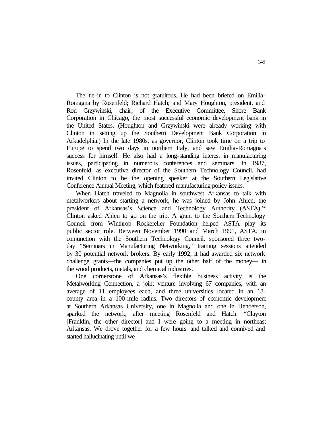The tie-in to Clinton is not gratuitous. He had been briefed on Emilia-Romagna by Rosenfeld; Richard Hatch; and Mary Houghton, president, and Ron Grzywinski, chair, of the Executive Committee, Shore Bank Corporation in Chicago, the most successful economic development bank in the United States. (Houghton and Grzywinski were already working with Clinton in setting up the Southern Development Bank Corporation in Arkadelphia.) In the late 1980s, as governor, Clinton took time on a trip to Europe to spend two days in northern Italy, and saw Emilia-Romagna's success for himself. He also had a long-standing interest in manufacturing issues, participating in numerous conferences and seminars. In 1987, Rosenfeld, as executive director of the Southern Technology Council, had invited Clinton to be the opening speaker at the Southern Legislative Conference Annual Meeting, which featured manufacturing policy issues.

When Hatch traveled to Magnolia in southwest Arkansas to talk with metalworkers about starting a network, he was joined by John Ahlen, the president of Arkansas's Science and Technology Authority (ASTA).<sup>2</sup> Clinton asked Ahlen to go on the trip. A grant to the Southern Technology Council from Winthrop Rockefeller Foundation helped ASTA play its public sector role. Between November 1990 and March 1991, ASTA, in conjunction with the Southern Technology Council, sponsored three twoday "Seminars in Manufacturing Networking," training sessions attended by 30 potential network brokers. By early 1992, it had awarded six network challenge grants—the companies put up the other half of the money— in the wood products, metals, and chemical industries.

One cornerstone of Arkansas's flexible business activity is the Metalworking Connection, a joint venture involving 67 companies, with an average of 11 employees each, and three universities located in an 18 county area in a 100-mile radius. Two directors of economic development at Southern Arkansas University, one in Magnolia and one in Henderson, sparked the network, after meeting Rosenfeld and Hatch. "Clayton [Franklin, the other director] and I were going to a meeting in northeast Arkansas. We drove together for a few hours and talked and connived and started hallucinating until we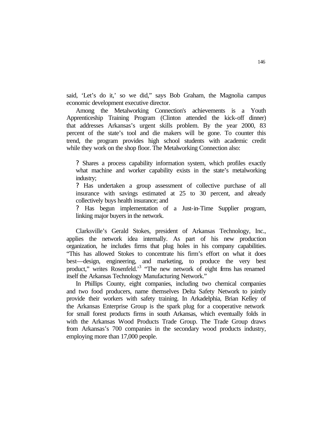said, 'Let's do it,' so we did," says Bob Graham, the Magnolia campus economic development executive director.

Among the Metalworking Connection's achievements is a Youth Apprenticeship Training Program (Clinton attended the kick-off dinner) that addresses Arkansas's urgent skills problem. By the year 2000, 83 percent of the state's tool and die makers will be gone. To counter this trend, the program provides high school students with academic credit while they work on the shop floor. The Metalworking Connection also:

? Shares a process capability information system, which profiles exactly what machine and worker capability exists in the state's metalworking industry;

? Has undertaken a group assessment of collective purchase of all insurance with savings estimated at 25 to 30 percent, and already collectively buys health insurance; and

? Has begun implementation of a Just-in-Time Supplier program, linking major buyers in the network.

Clarksville's Gerald Stokes, president of Arkansas Technology, Inc., applies the network idea internally. As part of his new production organization, he includes firms that plug holes in his company capabilities. "This has allowed Stokes to concentrate his firm's effort on what it does best—design, engineering, and marketing, to produce the very best product," writes Rosenfeld.<sup>3</sup> "The new network of eight firms has renamed itself the Arkansas Technology Manufacturing Network."

In Phillips County, eight companies, including two chemical companies and two food producers, name themselves Delta Safety Network to jointly provide their workers with safety training. In Arkadelphia, Brian Kelley of the Arkansas Enterprise Group is the spark plug for a cooperative network for small forest products firms in south Arkansas, which eventually folds in with the Arkansas Wood Products Trade Group. The Trade Group draws from Arkansas's 700 companies in the secondary wood products industry, employing more than 17,000 people.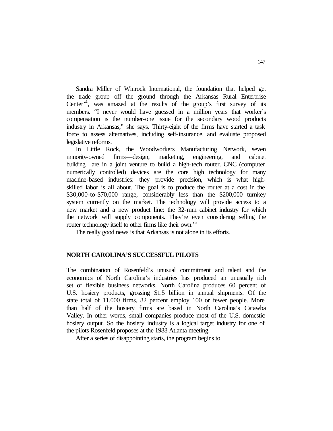Sandra Miller of Winrock International, the foundation that helped get the trade group off the ground through the Arkansas Rural Enterprise Center<sup>,4</sup>, was amazed at the results of the group's first survey of its members. "I never would have guessed in a million years that worker's compensation is the number-one issue for the secondary wood products industry in Arkansas," she says. Thirty-eight of the firms have started a task force to assess alternatives, including self-insurance, and evaluate proposed legislative reforms.

In Little Rock, the Woodworkers Manufacturing Network, seven minority-owned firms—design, marketing, engineering, and cabinet building—are in a joint venture to build a high-tech router. CNC (computer numerically controlled) devices are the core high technology for many machine-based industries: they provide precision, which is what highskilled labor is all about. The goal is to produce the router at a cost in the \$30,000-to-\$70,000 range, considerably less than the \$200,000 turnkey system currently on the market. The technology will provide access to a new market and a new product line: the 32-mm cabinet industry for which the network will supply components. They're even considering selling the router technology itself to other firms like their own.<sup>5</sup>

The really good news is that Arkansas is not alone in its efforts.

# **NORTH CAROLINA'S SUCCESSFUL PILOTS**

The combination of Rosenfeld's unusual commitment and talent and the economics of North Carolina's industries has produced an unusually rich set of flexible business networks. North Carolina produces 60 percent of U.S. hosiery products, grossing \$1.5 billion in annual shipments. Of the state total of 11,000 firms, 82 percent employ 100 or fewer people. More than half of the hosiery firms are based in North Carolina's Catawba Valley. In other words, small companies produce most of the U.S. domestic hosiery output. So the hosiery industry is a logical target industry for one of the pilots Rosenfeld proposes at the 1988 Atlanta meeting.

After a series of disappointing starts, the program begins to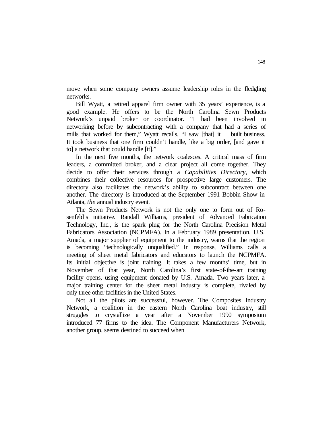move when some company owners assume leadership roles in the fledgling networks.

Bill Wyatt, a retired apparel firm owner with 35 years' experience, is a good example. He offers to be the North Carolina Sewn Products Network's unpaid broker or coordinator. "I had been involved in networking before by subcontracting with a company that had a series of mills that worked for them," Wyatt recalls. "I saw [that] it ... built business. It took business that one firm couldn't handle, like a big order, [and gave it to] a network that could handle [it]."

In the next five months, the network coalesces. A critical mass of firm leaders, a committed broker, and a clear project all come together. They decide to offer their services through a *Capabilities Directory,* which combines their collective resources for prospective large customers. The directory also facilitates the network's ability to subcontract between one another. The directory is introduced at the September 1991 Bobbin Show in Atlanta, *the* annual industry event.

The Sewn Products Network is not the only one to form out of Rosenfeld's initiative. Randall Williams, president of Advanced Fabrication Technology, Inc., is the spark plug for the North Carolina Precision Metal Fabricators Association (NCPMFA). In a February 1989 presentation, U.S. Amada, a major supplier of equipment to the industry, warns that the region is becoming "technologically unqualified." In response, Williams calls a meeting of sheet metal fabricators and educators to launch the NCPMFA. Its initial objective is joint training. It takes a few months' time, but in November of that year, North Carolina's first state-of-the-art training facility opens, using equipment donated by U.S. Amada. Two years later, a major training center for the sheet metal industry is complete, rivaled by only three other facilities in the United States.

Not all the pilots are successful, however. The Composites Industry Network, a coalition in the eastern North Carolina boat industry, still struggles to crystallize a year after a November 1990 symposium introduced 77 firms to the idea. The Component Manufacturers Network, another group, seems destined to succeed when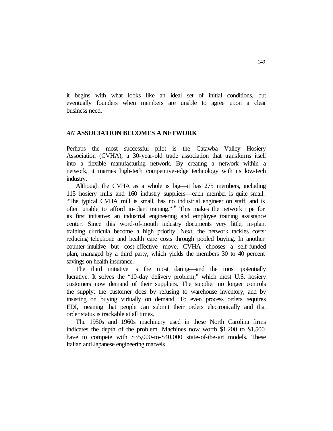it begins with what looks like an ideal set of initial conditions, but eventually founders when members are unable to agree upon a clear business need.

# *AN* **ASSOCIATION BECOMES A NETWORK**

Perhaps the most successful pilot is the Catawba Valley Hosiery Association (CVHA), a 30-year-old trade association that transforms itself into a flexible manufacturing network. By creating a network within a network, it marries high-tech competitive-edge technology with its low-tech industry.

Although the CVHA as a whole is big—it has 275 members, including 115 hosiery mills and 160 industry suppliers—each member is quite small. "The typical CVHA mill is small, has no industrial engineer on staff, and is often unable to afford in-plant training."<sup>6</sup> This makes the network ripe for its first initiative: an industrial engineering and employee training assistance center. Since this word-of-mouth industry documents very little, in-plant training curricula become a high priority. Next, the network tackles costs: reducing telephone and health care costs through pooled buying. In another counter-intuitive but cost-effective move, CVHA chooses a self-funded plan, managed by a third party, which yields the members 30 to 40 percent savings on health insurance.

The third initiative is the most daring—and the most potentially lucrative. It solves the "10-day delivery problem," which most U.S. hosiery customers now demand of their suppliers. The supplier no longer controls the supply; the customer does by refusing to warehouse inventory, and by insisting on buying virtually on demand. To even process orders requires EDI, meaning that people can submit their orders electronically and that order status is trackable at all times.

The 1950s and 1960s machinery used in these North Carolina firms indicates the depth of the problem. Machines now worth \$1,200 to \$1,500 have to compete with \$35,000-to-\$40,000 state-of-the-art models. These Italian and Japanese engineering marvels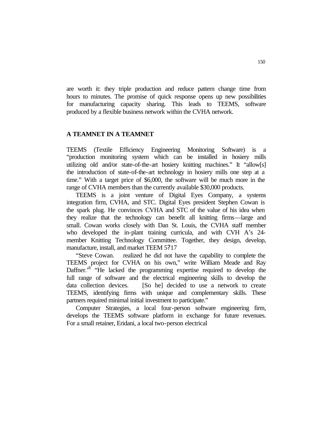are worth it: they triple production and reduce pattern change time from hours to minutes. The promise of quick response opens up new possibilities for manufacturing capacity sharing. This leads to TEEMS, software produced by a flexible business network within the CVHA network.

# **A TEAMNET IN A TEAMNET**

TEEMS (Textile Efficiency Engineering Monitoring Software) is a "production monitoring system which can be installed in hosiery mills utilizing old and/or state-of-the-art hosiery knitting machines." It "allow[s] the introduction of state-of-the-art technology in hosiery mills one step at a time." With a target price of \$6,000, the software will be much more in the range of CVHA members than the currently available \$30,000 products.

TEEMS is a joint venture of Digital Eyes Company, a systems integration firm, CVHA, and STC. Digital Eyes president Stephen Cowan is the spark plug. He convinces CVHA and STC of the value of his idea when they realize that the technology can benefit all knitting firms—large and small. Cowan works closely with Dan St. Louis, the CVHA staff member who developed the in-plant training curricula, and with CVH A's 24 member Knitting Technology Committee. Together, they design, develop, manufacture, install, and market TEEM 5?17

"Steve Cowan. . . realized he did not have the capability to complete the TEEMS project for CVHA on his own," write William Meade and Ray Daffner.<sup>8</sup> "He lacked the programming expertise required to develop the full range of software and the electrical engineering skills to develop the data collection devices. . . [So he] decided to use a network to create TEEMS, identifying firms with unique and complementary skills. These partners required minimal initial investment to participate."

Computer Strategies, a local four-person software engineering firm, develops the TEEMS software platform in exchange for future revenues. For a small retainer, Eridani, a local two-person electrical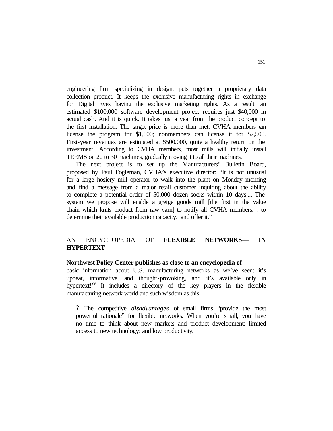engineering firm specializing in design, puts together a proprietary data collection product. It keeps the exclusive manufacturing rights in exchange for Digital Eyes having the exclusive marketing rights. As a result, an estimated \$100,000 software development project requires just \$40,000 in actual cash. And it is quick. It takes just a year from the product concept to the first installation. The target price is more than met: CVHA members can license the program for \$1,000; nonmembers can license it for \$2,500. First-year revenues are estimated at \$500,000, quite a healthy return on the investment. According to CVHA members, most mills will initially install TEEMS on 20 to 30 machines, gradually moving it to all their machines.

The next project is to set up the Manufacturers' Bulletin Board, proposed by Paul Fogleman, CVHA's executive director: "It is not unusual for a large hosiery mill operator to walk into the plant on Monday morning and find a message from a major retail customer inquiring about the ability to complete a potential order of 50,000 dozen socks within 10 days.... The system we propose will enable a greige goods mill [the first in the value chain which knits product from raw yarn] to notify all CVHA members. . . to determine their available production capacity. . and offer it."

# AN ENCYCLOPEDIA OF **FLEXIBLE NETWORKS— IN HYPERTEXT**

#### **Northwest Policy Center publishes as close to an encyclopedia of**

basic information about U.S. manufacturing networks as we've seen: it's upbeat, informative, and thought-provoking, and it's available only in hypertext!<sup>'9</sup> It includes a directory of the key players in the flexible manufacturing network world and such wisdom as this:

? The competitive *disadvantages* of small firms "provide the most powerful rationale" for flexible networks. When you're small, you have no time to think about new markets and product development; limited access to new technology; and low productivity.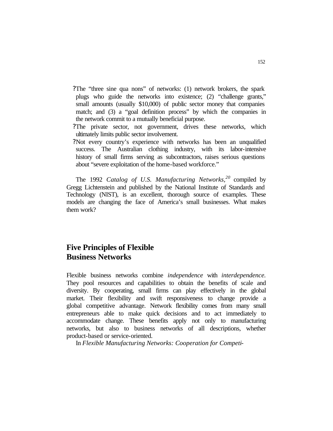- ?The "three sine qua nons" of networks: (1) network brokers, the spark plugs who guide the networks into existence; (2) "challenge grants," small amounts (usually \$10,000) of public sector money that companies match; and (3) a "goal definition process" by which the companies in the network commit to a mutually beneficial purpose.
- ?The private sector, not government, drives these networks, which ultimately limits public sector involvement.
- ?Not every country's experience with networks has been an unqualified success. The Australian clothing industry, with its labor-intensive history of small firms serving as subcontractors, raises serious questions about "severe exploitation of the home-based workforce."

The 1992 *Catalog of U.S. Manufacturing Networks*,<sup>20</sup> compiled by Gregg Lichtenstein and published by the National Institute of Standards and Technology (NIST), is an excellent, thorough source of examples. These models are changing the face of America's small businesses. What makes them work?

# **Five Principles of Flexible Business Networks**

Flexible business networks combine *independence* with *interdependence.*  They pool resources and capabilities to obtain the benefits of scale and diversity. By cooperating, small firms can play effectively in the global market. Their flexibility and swift responsiveness to change provide a global competitive advantage. Network flexibility comes from many small entrepreneurs able to make quick decisions and to act immediately to accommodate change. These benefits apply not only to manufacturing networks, but also to business networks of all descriptions, whether product-based or service-oriented.

In *Flexible Manufacturing Networks: Cooperation for Competi-*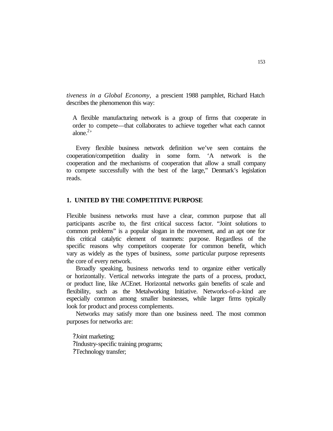*tiveness in a Global Economy,* a prescient 1988 pamphlet, Richard Hatch describes the phenomenon this way:

A flexible manufacturing network is a group of firms that cooperate in order to compete—that collaborates to achieve together what each cannot alone. $2$ <sup>2</sup>

Every flexible business network definition we've seen contains the cooperation/competition duality in some form. 'A network is the cooperation and the mechanisms of cooperation that allow a small company to compete successfully with the best of the large," Denmark's legislation reads.

# **1. UNITED BY THE COMPETITIVE PURPOSE**

Flexible business networks must have a clear, common purpose that all participants ascribe to, the first critical success factor. "Joint solutions to common problems" is a popular slogan in the movement, and an apt one for this critical catalytic element of teamnets: purpose. Regardless of the specific reasons why competitors cooperate for common benefit, which vary as widely as the types of business, *some* particular purpose represents the core of every network.

Broadly speaking, business networks tend to organize either vertically or horizontally. Vertical networks integrate the parts of a process, product, or product line, like ACEnet. Horizontal networks gain benefits of scale and flexibility, such as the Metalworking Initiative. Networks-of-a-kind are especially common among smaller businesses, while larger firms typically look for product and process complements.

Networks may satisfy more than one business need. The most common purposes for networks are:

?Joint marketing; ?Industry-specific training programs; ?Technology transfer;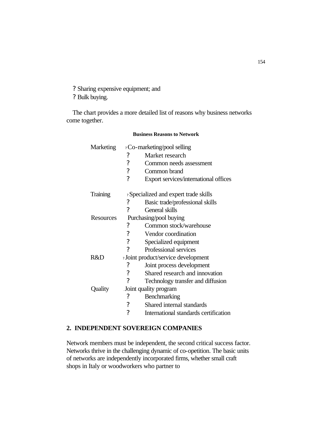? Sharing expensive equipment; and

? Bulk buying.

The chart provides a more detailed list of reasons why business networks come together.

**Business Reasons to Network**

| Marketing | ? Co-marketing/pool selling                    |                                       |
|-----------|------------------------------------------------|---------------------------------------|
|           | $\ddot{?}$                                     | Market research                       |
|           | $\mathcal{P}$                                  | Common needs assessment               |
|           | $\overline{\mathcal{C}}$                       | Common brand                          |
|           | $\gamma$                                       | Export services/international offices |
| Training  | ? Specialized and expert trade skills          |                                       |
|           | ?                                              | Basic trade/professional skills       |
|           | $\gamma$                                       | General skills                        |
| Resources | Purchasing/pool buying                         |                                       |
|           | ?                                              | Common stock/warehouse                |
|           | $\overline{\mathcal{C}}$                       | Vendor coordination                   |
|           | $\overline{\mathcal{L}}$                       | Specialized equipment                 |
|           | $\gamma$                                       | Professional services                 |
| R&D       | <sup>2</sup> Joint product/service development |                                       |
|           | ?                                              | Joint process development             |
|           | $\overline{\mathcal{C}}$                       | Shared research and innovation        |
|           | $\gamma$                                       | Technology transfer and diffusion     |
| Quality   | Joint quality program                          |                                       |
|           | ?                                              | Benchmarking                          |
|           | $\overline{\cdot}$                             | Shared internal standards             |
|           | ?                                              | International standards certification |

# **2. INDEPENDENT SOVEREIGN COMPANIES**

Network members must be independent, the second critical success factor. Networks thrive in the challenging dynamic of co-opetition. The basic units of networks are independently incorporated firms, whether small craft shops in Italy or woodworkers who partner to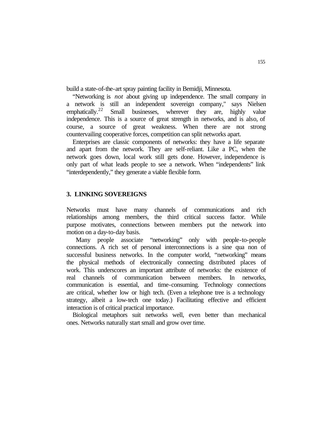build a state-of-the-art spray painting facility in Bemidji, Minnesota.

"Networking is *not* about giving up independence. The small company in a network is still an independent sovereign company," says Nielsen emphatically.<sup>22</sup> Small businesses, wherever they are, highly value independence. This is a source of great strength in networks, and is also, of course, a source of great weakness. When there are not strong countervailing cooperative forces, competition can split networks apart.

Enterprises are classic components of networks: they have a life separate and apart from the network. They are self-reliant. Like a PC, when the network goes down, local work still gets done. However, independence is only part of what leads people to see a network. When "independents" link "interdependently," they generate a viable flexible form.

## **3. LINKING SOVEREIGNS**

Networks must have many channels of communications and rich relationships among members, the third critical success factor. While purpose motivates, connections between members put the network into motion on a day-to-day basis.

Many people associate "networking" only with people-to-people connections. A rich set of personal interconnections is a sine qua non of successful business networks. In the computer world, "networking" means the physical methods of electronically connecting distributed places of work. This underscores an important attribute of networks: the existence of real channels of communication between members. In networks, communication is essential, and time-consuming. Technology connections are critical, whether low or high tech. (Even a telephone tree is a technology strategy, albeit a low-tech one today.) Facilitating effective and efficient interaction is of critical practical importance.

Biological metaphors suit networks well, even better than mechanical ones. Networks naturally start small and grow over time.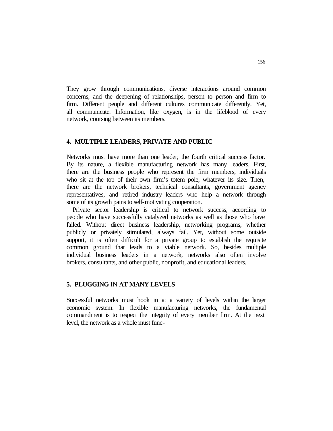They grow through communications, diverse interactions around common concerns, and the deepening of relationships, person to person and firm to firm. Different people and different cultures communicate differently. Yet, all communicate. Information, like oxygen, is in the lifeblood of every network, coursing between its members.

#### **4. MULTIPLE LEADERS, PRIVATE AND PUBLIC**

Networks must have more than one leader, the fourth critical success factor. By its nature, a flexible manufacturing network has many leaders. First, there are the business people who represent the firm members, individuals who sit at the top of their own firm's totem pole, whatever its size. Then, there are the network brokers, technical consultants, government agency representatives, and retired industry leaders who help a network through some of its growth pains to self-motivating cooperation.

Private sector leadership is critical to network success, according to people who have successfully catalyzed networks as well as those who have failed. Without direct business leadership, networking programs, whether publicly or privately stimulated, always fail. Yet, without some outside support, it is often difficult for a private group to establish the requisite common ground that leads to a viable network. So, besides multiple individual business leaders in a network, networks also often involve brokers, consultants, and other public, nonprofit, and educational leaders.

## **5. PLUGGING** IN **AT MANY LEVELS**

Successful networks must hook in at a variety of levels within the larger economic system. In flexible manufacturing networks, the fundamental commandment is to respect the integrity of every member firm. At the next level, the network as a whole must func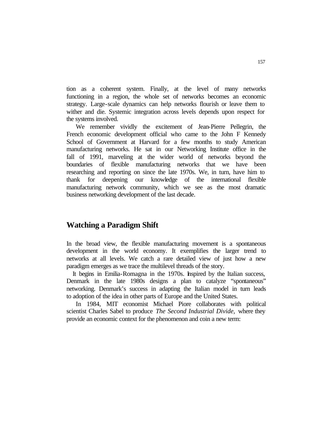tion as a coherent system. Finally, at the level of many networks functioning in a region, the whole set of networks becomes an economic strategy. Large-scale dynamics can help networks flourish or leave them to wither and die. Systemic integration across levels depends upon respect for the systems involved.

We remember vividly the excitement of Jean-Pierre Pellegrin, the French economic development official who came to the John F Kennedy School of Government at Harvard for a few months to study American manufacturing networks. He sat in our Networking Institute office in the fall of 1991, marveling at the wider world of networks beyond the boundaries of flexible manufacturing networks that we have been researching and reporting on since the late 1970s. We, in turn, have him to thank for deepening our knowledge of the international flexible manufacturing network community, which we see as the most dramatic business networking development of the last decade.

# **Watching a Paradigm Shift**

In the broad view, the flexible manufacturing movement is a spontaneous development in the world economy. It exemplifies the larger trend to networks at all levels. We catch a rare detailed view of just how a new paradigm emerges as we trace the multilevel threads of the story.

It begins in Emilia-Romagna in the 1970s. Inspired by the Italian success, Denmark in the late 1980s designs a plan to catalyze "spontaneous" networking. Denmark's success in adapting the Italian model in turn leads to adoption of the idea in other parts of Europe and the United States.

In 1984, MIT economist Michael Piore collaborates with political scientist Charles Sabel to produce *The Second Industrial Divide,* where they provide an economic context for the phenomenon and coin a new term: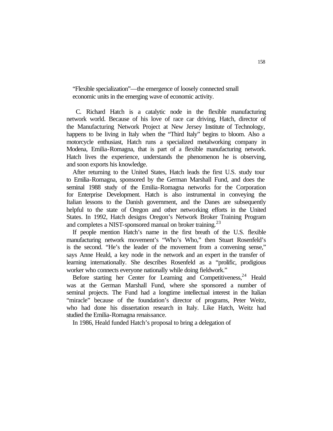"Flexible specialization"—the emergence of loosely connected small economic units in the emerging wave of economic activity.

C. Richard Hatch is a catalytic node in the flexible manufacturing network world. Because of his love of race car driving, Hatch, director of the Manufacturing Network Project at New Jersey Institute of Technology, happens to be living in Italy when the "Third Italy" begins to bloom. Also a motorcycle enthusiast, Hatch runs a specialized metalworking company in Modena, Emilia-Romagna, that is part of a flexible manufacturing network. Hatch lives the experience, understands the phenomenon he is observing, and soon exports his knowledge.

After returning to the United States, Hatch leads the first U.S. study tour to Emilia-Romagna, sponsored by the German Marshall Fund, and does the seminal 1988 study of the Emilia-Romagna networks for the Corporation for Enterprise Development. Hatch is also instrumental in conveying the Italian lessons to the Danish government, and the Danes are subsequently helpful to the state of Oregon and other networking efforts in the United States. In 1992, Hatch designs Oregon's Network Broker Training Program and completes a NIST-sponsored manual on broker training.<sup>23</sup>

If people mention Hatch's name in the first breath of the U.S. flexible manufacturing network movement's "Who's Who," then Stuart Rosenfeld's is the second. "He's the leader of the movement from a convening sense," says Anne Heald, a key node in the network and an expert in the transfer of learning internationally. She describes Rosenfeld as a "prolific, prodigious worker who connects everyone nationally while doing fieldwork."

Before starting her Center for Learning and Competitiveness,<sup>24</sup> Heald was at the German Marshall Fund, where she sponsored a number of seminal projects. The Fund had a longtime intellectual interest in the Italian "miracle" because of the foundation's director of programs, Peter Weitz, who had done his dissertation research in Italy. Like Hatch, Weitz had studied the Emilia-Romagna renaissance.

In 1986, Heald funded Hatch's proposal to bring a delegation of